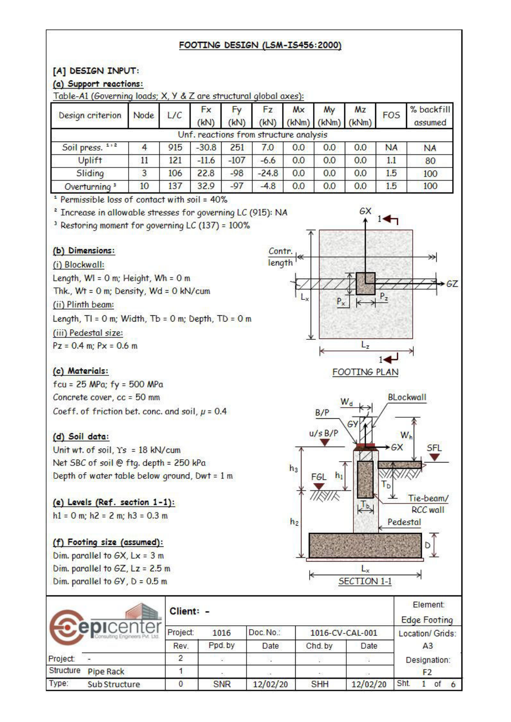#### FOOTING DESIGN (LSM-IS456:2000)

### [A] DESIGN INPUT:

### (a) Support reactions:

| Design criterion         | Node | L/C | <b>Fx</b><br>(kN)                      | (kN)   | Fz.<br>(kN) | Mx  | My<br>$(kNm)$ $(kNm)$ $(kNm)$ | Mz  | <b>FOS</b> | % backfill<br>assumed |
|--------------------------|------|-----|----------------------------------------|--------|-------------|-----|-------------------------------|-----|------------|-----------------------|
|                          |      |     | Unf. reactions from structure analysis |        |             |     |                               |     |            |                       |
| Soil press. 1,2          |      | 915 | $-30.8$                                | 251    | 7.0         | 0.0 | 0.0                           | 0.0 | <b>NA</b>  | <b>NA</b>             |
| <b>Uplift</b>            | 11   | 121 | $-11.6$                                | $-107$ | $-6.6$      | 0.0 | 0.0                           | 0.0 | 11         | 80                    |
| Sliding                  | 3    | 106 | 22.8                                   | $-98$  | $-24.8$     | 0.0 | 0.0                           | 0.0 | 1.5        | 100                   |
| Overturning <sup>3</sup> | 10   | 137 | 32.9                                   | $-97$  | $-4.8$      | 0.0 | 0.0                           | 0.0 | 1.5        | 100                   |

Table-A1 (Governing loads: X Y & Z are structural alobal axes):

<sup>1</sup> Permissible loss of contact with soil = 40%

<sup>2</sup> Increase in allowable stresses for governing LC (915): NA

<sup>3</sup> Restoring moment for governing LC (137) = 100%

## (b) Dimensions:

(i) Blockwall: Length,  $WI = 0$  m; Height,  $Wh = 0$  m Thk.,  $Wt = 0$  m; Density,  $Wd = 0$  kN/cum (ii) Plinth beam: Length,  $TI = 0$  m; Width,  $Tb = 0$  m; Depth,  $TD = 0$  m (iii) Pedestal size:  $Pz = 0.4$  m;  $Px = 0.6$  m

## (c) Materials:

 $fcu = 25$  MPa;  $fy = 500$  MPa Concrete cover, cc = 50 mm Coeff. of friction bet. conc. and soil,  $\mu$  = 0.4

## (d) Soil data:

Unit wt. of soil,  $Ys = 18$  kN/cum Net SBC of soil @ ftg. depth = 250 kPa Depth of water table below ground, Dwt = 1 m

# (e) Levels (Ref. section 1-1):

 $h1 = 0$  m;  $h2 = 2$  m;  $h3 = 0.3$  m

### (f) Footing size (assumed):

Dim. parallel to  $GX$ ,  $Lx = 3$  m Dim. parallel to  $6Z$ , Lz =  $2.5$  m Dim. parallel to  $GY$ ,  $D = 0.5$  m







|           |               | Client: - |            |             |            |                 | Element:<br><b>Edge Footing</b> |
|-----------|---------------|-----------|------------|-------------|------------|-----------------|---------------------------------|
|           | epicenter     | Project:  | 1016       | Doc. No.:   |            | 1016-CV-CAL-001 | Location/ Grids:                |
|           |               | Rev.      | Ppd.by     | <b>Date</b> | Chd. by    | Date            | A <sub>3</sub>                  |
| Project:  | ×             | $\Omega$  |            |             |            |                 | Designation:                    |
| Structure | Pipe Rack     |           |            | S.          | ALC:       |                 | F2                              |
| Type:     | Sub Structure | 0         | <b>SNR</b> | 12/02/20    | <b>SHH</b> | 12/02/20        | Sht.<br>of                      |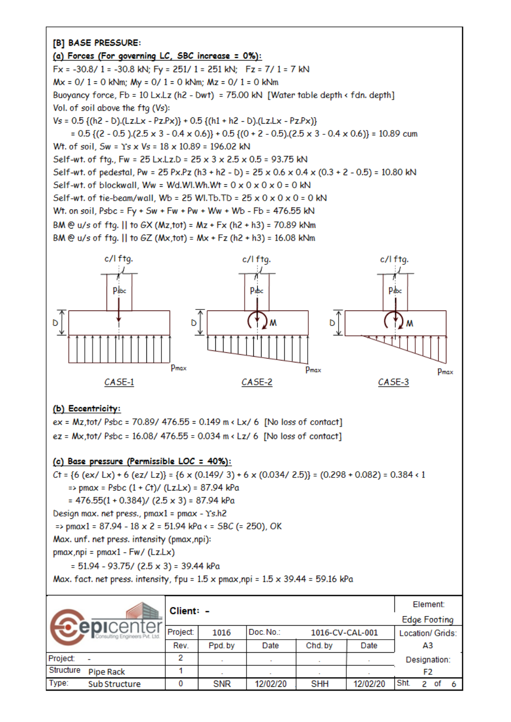## [B] BASE PRESSURE: (a) Forces (For governing LC, SBC increase = 0%):  $Fx = -30.8/1 = -30.8$  kN;  $Fy = 251/1 = 251$  kN;  $Fz = 7/1 = 7$  kN  $Mx = 0/1 = 0$  kNm;  $My = 0/1 = 0$  kNm;  $Mz = 0/1 = 0$  kNm Buoyancy force, Fb = 10 Lx.Lz (h2 - Dwt) = 75.00 kN [Water table depth < fdn. depth] Vol. of soil above the ftg (Vs):  $Vs = 0.5$  {(h2 - D).(Lz.Lx - Pz.Px)} + 0.5 {(h1 + h2 - D).(Lz.Lx - Pz.Px)}  $= 0.5$  {(2 - 0.5).(2.5 x 3 - 0.4 x 0.6)} + 0.5 {(0 + 2 - 0.5).(2.5 x 3 - 0.4 x 0.6)} = 10.89 cum Wt. of soil. Sw = Ys x Vs = 18 x 10.89 = 196.02 kN Self-wt. of ftg., Fw = 25 Lx.Lz.D = 25 x 3 x 2.5 x 0.5 = 93.75 kN Self-wt. of pedestal, Pw = 25 Px.Pz (h3 + h2 - b) = 25 x 0.6 x 0.4 x (0.3 + 2 - 0.5) = 10.80 kN Self-wt. of blockwall. Ww = Wd.Wl.Wh.Wt =  $0 \times 0 \times 0 \times 0 = 0$  kN Self-wt. of tie-beam/wall, Wb = 25 Wl. Tb. TD =  $25 \times 0 \times 0 \times 0 = 0$  kN Wt. on soil, Psbc = Fy + Sw + Fw + Pw + Ww + Wb - Fb = 476.55 kN BM @ u/s of ftg. || to GX (Mz,tot) = Mz + Fx (h2 + h3) = 70.89 kNm BM @ u/s of ftg. || to  $6Z$  (Mx, tot) = Mx + Fz (h2 + h3) = 16.08 kNm c/l ftg. c/l ftg. c/l fta.



#### (b) Eccentricity:

 $ex = Mz, tot/ Psbc = 70.89/ 476.55 = 0.149 m \cdot Lx/ 6$  [No loss of contact] ez = Mx,tot/ Psbc = 16.08/ 476.55 = 0.034 m < Lz/ 6 [No loss of contact]

#### (c) Base pressure (Permissible LOC = 40%):

Ct = {6 (ex/ Lx) + 6 (ez/ Lz)} = {6 x (0.149/ 3) + 6 x (0.034/ 2.5)} = (0.298 + 0.082) = 0.384 < 1 => pmax = Psbc  $(1 + Ct) / (Lz.Lx) = 87.94$  kPa  $= 476.55(1 + 0.384) / (2.5 \times 3) = 87.94$  kPa Design max. net press., pmax1 = pmax - Ys.h2 => pmax1 = 87.94 - 18 x 2 = 51.94 kPa < = SBC (= 250), OK Max. unf. net press. intensity (pmax,npi):  $pmax, npi = pmax1 - Fw / (Lz.Lx)$ 

 $= 51.94 - 93.75 / (2.5 \times 3) = 39.44$  kPa

Max. fact. net press. intensity, fpu =  $1.5 \times$  pmax, npi =  $1.5 \times 39.44$  = 59.16 kPa

| Client: - |                |          |            |           |                 | Element: |                  |    |                     |  |  |
|-----------|----------------|----------|------------|-----------|-----------------|----------|------------------|----|---------------------|--|--|
|           |                |          |            |           |                 |          |                  |    | <b>Edge Footing</b> |  |  |
|           |                | Project: | 1016       | Doc. No.: | 1016-CV-CAL-001 |          | Location/ Grids: |    |                     |  |  |
|           |                | Rev.     | Ppd.by     | Date      | Chd. by         | Date     |                  | A3 |                     |  |  |
| Project:  | $\blacksquare$ | 2        |            |           |                 |          | Designation:     |    |                     |  |  |
| Structure | Pipe Rack      |          |            |           |                 |          |                  | F2 |                     |  |  |
| Type:     | Sub Structure  | 0        | <b>SNR</b> | 12/02/20  | <b>SHH</b>      | 12/02/20 | Sht.             | 2  | οf                  |  |  |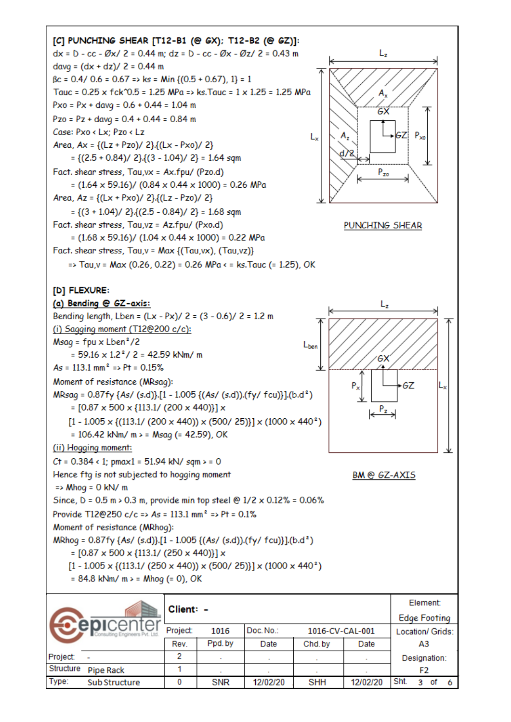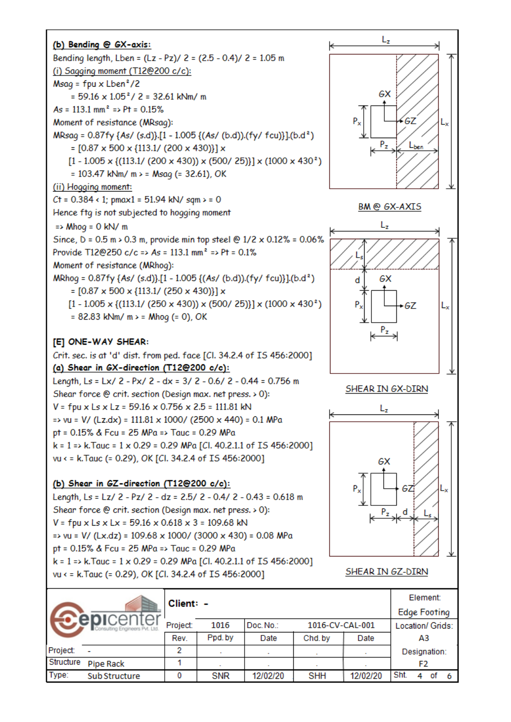

## [E] ONE-WAY SHEAR:

Crit. sec. is at 'd' dist. from ped. face [Cl. 34.2.4 of IS 456:2000] (a) Shear in GX-direction (T12@200 c/c):

Length, Ls = Lx/ 2 - Px/ 2 - dx = 3/ 2 - 0.6/ 2 - 0.44 = 0.756 m Shear force @ crit. section (Design max. net press. > 0):  $V = fpu \times Ls \times Lz = 59.16 \times 0.756 \times 2.5 = 111.81$  kN  $\Rightarrow$  vu = V/ (Lz.dx) = 111.81 x 1000/ (2500 x 440) = 0.1 MPa pt = 0.15% & Fcu = 25 MPa => Tauc = 0.29 MPa  $k = 1$  => k.Tauc = 1 x 0.29 = 0.29 MPa [Cl. 40.2.1.1 of IS 456:2000] vu < = k.Tauc (= 0.29), OK [Cl. 34.2.4 of IS 456:2000]

### (b) Shear in GZ-direction (T12@200 c/c):

Length, Ls = Lz/ 2 - Pz/ 2 - dz = 2.5/ 2 - 0.4/ 2 - 0.43 = 0.618 m Shear force @ crit. section (Design max. net press. > 0):  $V = fpu \times Ls \times Lx = 59.16 \times 0.618 \times 3 = 109.68$  kN  $\Rightarrow$  vu = V/ (Lx.dz) = 109.68 x 1000/ (3000 x 430) = 0.08 MPa pt = 0.15% & Fcu = 25 MPa => Tauc = 0.29 MPa  $k = 1$  => k.Tauc = 1 x 0.29 = 0.29 MPa [Cl. 40.2.1.1 of IS 456:2000] vu < = k.Tauc (= 0.29), OK [Cl. 34.2.4 of IS 456:2000]





SHEAR IN GZ-DIRN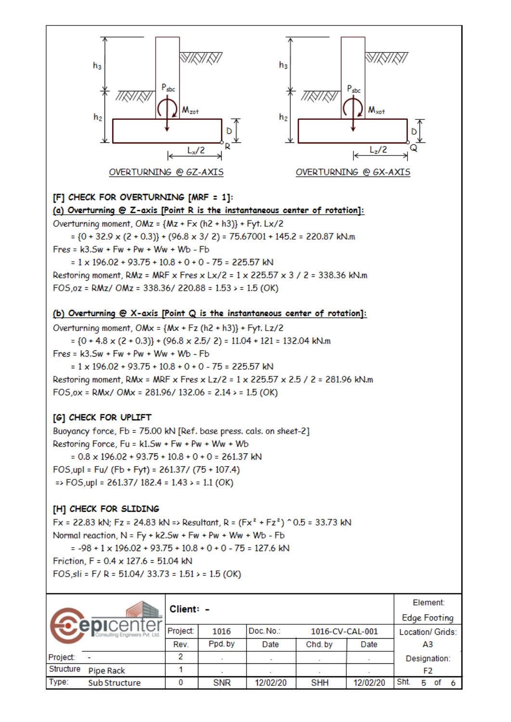

### [F] CHECK FOR OVERTURNING [MRF = 1]:

(a) Overturning @ Z-axis [Point R is the instantaneous center of rotation]:

Overturning moment, OMz = {Mz + Fx (h2 + h3)} + Fyt. Lx/2  $=$  {0 + 32.9 x (2 + 0.3)} + (96.8 x 3/ 2) = 75.67001 + 145.2 = 220.87 kN.m  $Fres = k3.5w + Fw + Pw + Ww + Wb - Fb$  $= 1 \times 196.02 + 93.75 + 10.8 + 0 + 0 - 75 = 225.57$  kN Restoring moment, RMz = MRF x Fres x Lx/2 = 1 x 225.57 x 3 / 2 = 338.36 kN.m FOS,  $oz = RMz / OMz = 338.36 / 220.88 = 1.53 > 1.5 (OK)$ 

(b) Overturning @ X-axis [Point Q is the instantaneous center of rotation]:

Overturning moment, OMx = {Mx + Fz (h2 + h3)} + Fyt. Lz/2  $= {0 + 4.8 \times (2 + 0.3)} + (96.8 \times 2.5 / 2) = 11.04 + 121 = 132.04$  kN.m  $Fres = k3.5w + Fw + Pw + Ww + Wb - Fb$  $= 1 \times 196.02 + 93.75 + 10.8 + 0 + 0 - 75 = 225.57$  kN Restoring moment, RMx = MRF x Fres x Lz/2 = 1 x 225.57 x 2.5 / 2 = 281.96 kN.m FOS, ox = RMx/ OMx = 281.96/ 132.06 = 2.14 > = 1.5 (OK)

### [G] CHECK FOR UPLIFT

Buoyancy force, Fb = 75.00 kN [Ref. base press. cals. on sheet-2] Restoring Force, Fu = k1.5w + Fw + Pw + Ww + Wb  $= 0.8 \times 196.02 + 93.75 + 10.8 + 0 + 0 = 261.37$  kN FOS, upl = Fu/ (Fb + Fyt) = 261.37/ (75 + 107.4)  $\Rightarrow$  FOS, upl = 261.37/ 182.4 = 1.43 > = 1.1 (OK)

#### [H] CHECK FOR SLIDING

Fx = 22.83 kN; Fz = 24.83 kN => Resultant, R =  $(Fx^2 + Fz^2)$  ^ 0.5 = 33.73 kN Normal reaction, N = Fy + k2.5w + Fw + Pw + Ww + Wb - Fb  $= -98 + 1 \times 196.02 + 93.75 + 10.8 + 0 + 0 - 75 = 127.6$  kN Friction, F = 0.4 x 127.6 = 51.04 kN FOS, sli = F/ R = 51.04/ 33.73 =  $1.51$  > =  $1.5$  (OK)

| Client: - |                          |          |            |           |                 |          | Element:         |  |  |  |
|-----------|--------------------------|----------|------------|-----------|-----------------|----------|------------------|--|--|--|
|           |                          |          |            |           |                 |          |                  |  |  |  |
|           |                          | Project: | 1016       | Doc. No.: | 1016-CV-CAL-001 |          | Location/ Grids: |  |  |  |
|           |                          | Rev.     | Ppd.by     | Date      | Chd. by         | Date     | A3               |  |  |  |
| Project:  | $\overline{\phantom{0}}$ | 2        |            |           |                 |          | Designation:     |  |  |  |
| Structure | Pipe Rack                |          |            |           |                 |          | F2               |  |  |  |
| Type:     | Sub Structure            |          | <b>SNR</b> | 12/02/20  | <b>SHH</b>      | 12/02/20 | Sht.<br>5<br>οf  |  |  |  |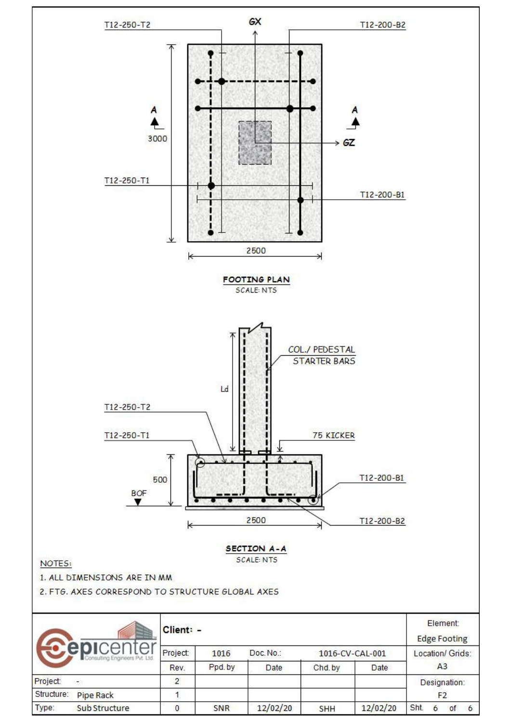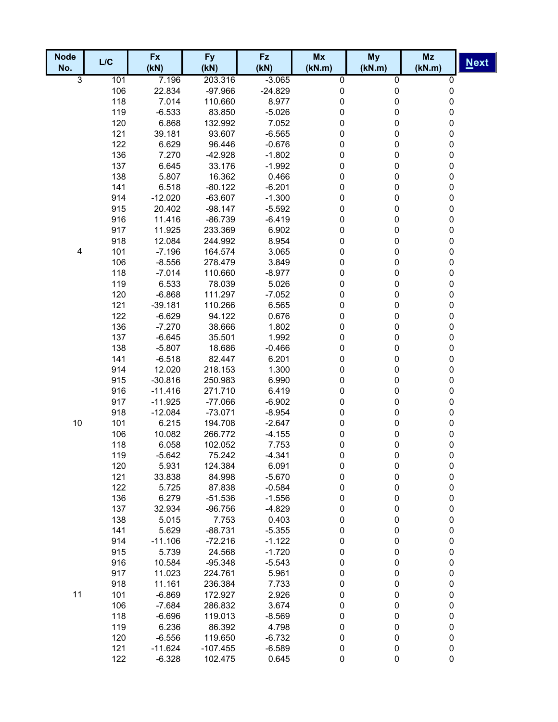| <b>Node</b>    | L/C        | <b>Fx</b>         | <b>Fy</b>          | <b>Fz</b>         | Mx        | <b>My</b> | Mz        |             |
|----------------|------------|-------------------|--------------------|-------------------|-----------|-----------|-----------|-------------|
| No.            |            | (KN)              | (KN)               | (KN)              | (kN.m)    | (kN.m)    | (kN.m)    | <b>Next</b> |
| $\overline{3}$ | 101        | 7.196             | 203.316            | $-3.065$          | 0         | 0         | $\pmb{0}$ |             |
|                | 106        | 22.834            | $-97.966$          | $-24.829$         | 0         | 0         | $\pmb{0}$ |             |
|                | 118        | 7.014             | 110.660            | 8.977             | 0         | 0         | 0         |             |
|                | 119        | $-6.533$          | 83.850             | $-5.026$          | 0         | 0         | 0         |             |
|                | 120        | 6.868             | 132.992            | 7.052             | 0         | 0         | 0         |             |
|                | 121        | 39.181            | 93.607             | $-6.565$          | 0         | 0         | 0         |             |
|                | 122        | 6.629             | 96.446             | $-0.676$          | 0         | 0         | 0         |             |
|                | 136        | 7.270             | $-42.928$          | $-1.802$          | 0         | 0         | 0         |             |
|                | 137        | 6.645             | 33.176             | $-1.992$          | 0         | 0         | 0         |             |
|                | 138        | 5.807             | 16.362             | 0.466             | 0         | 0         | 0         |             |
|                | 141        | 6.518             | $-80.122$          | $-6.201$          | 0         | 0         | 0         |             |
|                | 914        | $-12.020$         | $-63.607$          | $-1.300$          | 0         | 0         | $\pmb{0}$ |             |
|                | 915        | 20.402            | $-98.147$          | $-5.592$          | 0         | 0         | 0         |             |
|                | 916        | 11.416            | $-86.739$          | $-6.419$          | 0         | 0         | $\pmb{0}$ |             |
|                | 917        | 11.925            | 233.369            | 6.902             | 0         | 0         | $\pmb{0}$ |             |
|                | 918        | 12.084            | 244.992            | 8.954             | 0         | 0         | $\pmb{0}$ |             |
| $\pmb{4}$      | 101        | $-7.196$          | 164.574            | 3.065             | 0         | 0         | $\pmb{0}$ |             |
|                | 106<br>118 | $-8.556$          | 278.479<br>110.660 | 3.849             | 0         | 0         | $\pmb{0}$ |             |
|                | 119        | $-7.014$<br>6.533 | 78.039             | $-8.977$<br>5.026 | 0<br>0    | 0<br>0    | 0<br>0    |             |
|                | 120        | $-6.868$          | 111.297            | $-7.052$          | 0         |           | 0         |             |
|                | 121        | $-39.181$         | 110.266            | 6.565             | 0         | 0<br>0    | 0         |             |
|                | 122        | $-6.629$          | 94.122             | 0.676             | 0         | 0         | 0         |             |
|                | 136        | $-7.270$          | 38.666             | 1.802             | 0         | 0         | 0         |             |
|                | 137        | $-6.645$          | 35.501             | 1.992             | 0         | 0         | 0         |             |
|                | 138        | $-5.807$          | 18.686             | $-0.466$          | 0         | 0         | 0         |             |
|                | 141        | $-6.518$          | 82.447             | 6.201             | 0         | 0         | 0         |             |
|                | 914        | 12.020            | 218.153            | 1.300             | 0         | 0         | 0         |             |
|                | 915        | $-30.816$         | 250.983            | 6.990             | 0         | 0         | 0         |             |
|                | 916        | $-11.416$         | 271.710            | 6.419             | 0         | 0         | 0         |             |
|                | 917        | $-11.925$         | $-77.066$          | $-6.902$          | 0         | 0         | 0         |             |
|                | 918        | $-12.084$         | $-73.071$          | $-8.954$          | 0         | 0         | 0         |             |
| 10             | 101        | 6.215             | 194.708            | $-2.647$          | 0         | 0         | 0         |             |
|                | 106        | 10.082            | 266.772            | $-4.155$          | 0         | 0         | 0         |             |
|                | 118        | 6.058             | 102.052            | 7.753             | 0         | 0         | 0         |             |
|                | 119        | $-5.642$          | 75.242             | $-4.341$          | 0         | 0         | 0         |             |
|                | 120        | 5.931             | 124.384            | 6.091             | 0         | $\pmb{0}$ | 0         |             |
|                | 121        | 33.838            | 84.998             | $-5.670$          | 0         | $\pmb{0}$ | $\pmb{0}$ |             |
|                | 122        | 5.725             | 87.838             | $-0.584$          | 0         | $\pmb{0}$ | $\pmb{0}$ |             |
|                | 136        | 6.279             | $-51.536$          | $-1.556$          | 0         | $\pmb{0}$ | $\pmb{0}$ |             |
|                | 137        | 32.934            | $-96.756$          | $-4.829$          | 0         | $\pmb{0}$ | $\pmb{0}$ |             |
|                | 138        | 5.015             | 7.753              | 0.403             | 0         | $\pmb{0}$ | $\pmb{0}$ |             |
|                | 141        | 5.629             | $-88.731$          | $-5.355$          | 0         | $\pmb{0}$ | $\pmb{0}$ |             |
|                | 914        | $-11.106$         | $-72.216$          | $-1.122$          | 0         | $\pmb{0}$ | $\pmb{0}$ |             |
|                | 915        | 5.739             | 24.568             | $-1.720$          | 0         | $\pmb{0}$ | $\pmb{0}$ |             |
|                | 916        | 10.584            | $-95.348$          | $-5.543$          | 0         | $\pmb{0}$ | $\pmb{0}$ |             |
|                | 917        | 11.023            | 224.761            | 5.961             | 0         | 0         | $\pmb{0}$ |             |
|                | 918        | 11.161            | 236.384            | 7.733             | 0         | 0         | $\pmb{0}$ |             |
| 11             | 101        | $-6.869$          | 172.927            | 2.926             | 0         | 0         | $\pmb{0}$ |             |
|                | 106        | $-7.684$          | 286.832            | 3.674             | 0         | 0         | $\pmb{0}$ |             |
|                | 118        | $-6.696$          | 119.013            | $-8.569$          | 0         | 0         | $\pmb{0}$ |             |
|                | 119        | 6.236             | 86.392             | 4.798             | 0         | 0         | $\pmb{0}$ |             |
|                | 120        | $-6.556$          | 119.650            | $-6.732$          | 0         | 0         | $\pmb{0}$ |             |
|                | 121        | $-11.624$         | $-107.455$         | $-6.589$          | 0         | $\pmb{0}$ | $\pmb{0}$ |             |
|                | 122        | $-6.328$          | 102.475            | 0.645             | $\pmb{0}$ | $\pmb{0}$ | $\pmb{0}$ |             |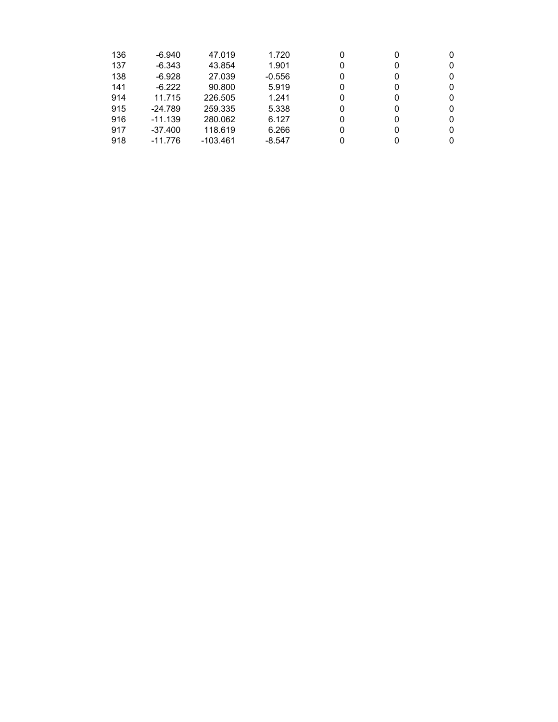| 136 | $-6.940$  | 47.019     | 1.720    | 0 |  |
|-----|-----------|------------|----------|---|--|
| 137 | $-6.343$  | 43.854     | 1.901    | 0 |  |
| 138 | $-6.928$  | 27.039     | $-0.556$ | 0 |  |
| 141 | $-6.222$  | 90.800     | 5.919    | 0 |  |
| 914 | 11.715    | 226,505    | 1.241    | 0 |  |
| 915 | $-24.789$ | 259.335    | 5.338    | O |  |
| 916 | $-11.139$ | 280.062    | 6.127    | O |  |
| 917 | $-37.400$ | 118.619    | 6.266    | 0 |  |
| 918 | $-11.776$ | $-103.461$ | $-8.547$ |   |  |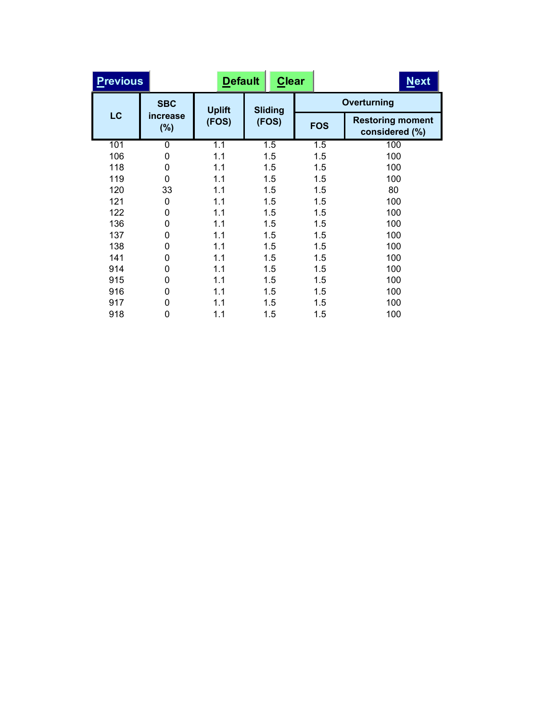| <b>Previous</b> |                 | <b>Default</b> |                | <b>Clear</b> | <b>Next</b>                               |
|-----------------|-----------------|----------------|----------------|--------------|-------------------------------------------|
|                 | <b>SBC</b>      | <b>Uplift</b>  | <b>Sliding</b> |              | Overturning                               |
| LC              | increase<br>(%) | (FOS)          | (FOS)          | <b>FOS</b>   | <b>Restoring moment</b><br>considered (%) |
| 101             | 0               | 1.1            | 1.5            | 1.5          | 100                                       |
| 106             | 0               | 1.1            | 1.5            | 1.5          | 100                                       |
| 118             | 0               | 1.1            | 1.5            | 1.5          | 100                                       |
| 119             | $\Omega$        | 1.1            | 1.5            | 1.5          | 100                                       |
| 120             | 33              | 1.1            | 1.5            | 1.5          | 80                                        |
| 121             | 0               | 1.1            | 1.5            | 1.5          | 100                                       |
| 122             | 0               | 1.1            | 1.5            | 1.5          | 100                                       |
| 136             | 0               | 1.1            | 1.5            | 1.5          | 100                                       |
| 137             | 0               | 1.1            | 1.5            | 1.5          | 100                                       |
| 138             | 0               | 1.1            | 1.5            | 1.5          | 100                                       |
| 141             | 0               | 1.1            | 1.5            | 1.5          | 100                                       |
| 914             | 0               | 1.1            | 1.5            | 1.5          | 100                                       |
| 915             | 0               | 1.1            | 1.5            | 1.5          | 100                                       |
| 916             | 0               | 1.1            | 1.5            | 1.5          | 100                                       |
| 917             | 0               | 1.1            | 1.5            | 1.5          | 100                                       |
| 918             | 0               | 1.1            | 1.5            | 1.5          | 100                                       |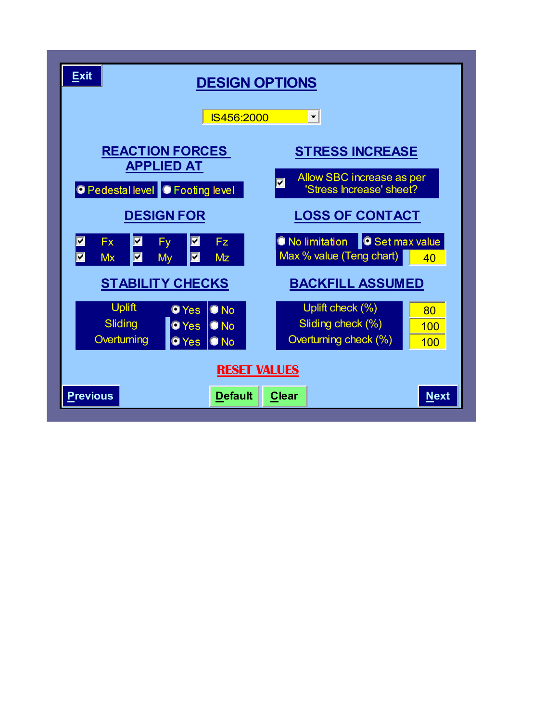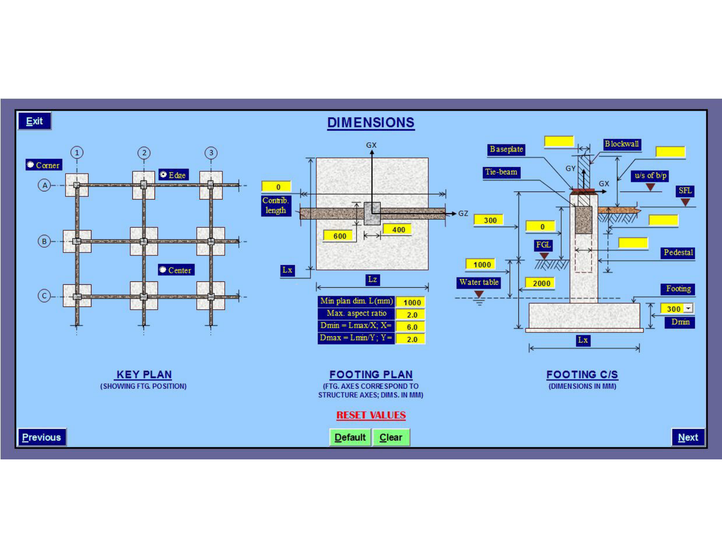